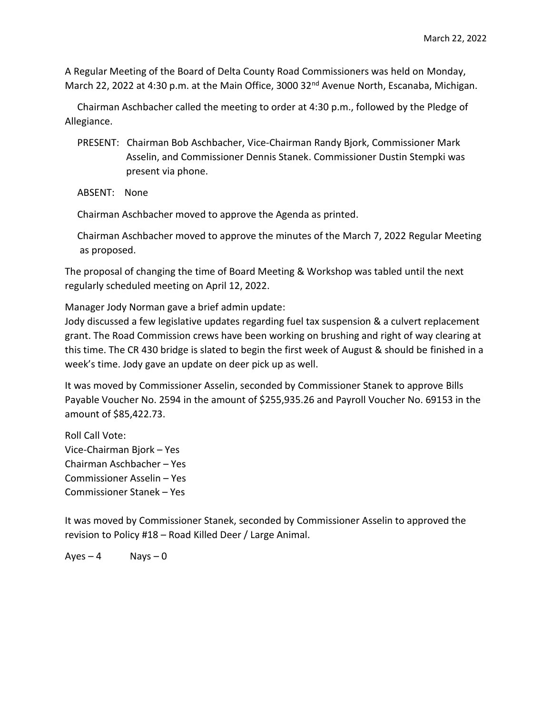A Regular Meeting of the Board of Delta County Road Commissioners was held on Monday, March 22, 2022 at 4:30 p.m. at the Main Office, 3000 32<sup>nd</sup> Avenue North, Escanaba, Michigan.

 Chairman Aschbacher called the meeting to order at 4:30 p.m., followed by the Pledge of Allegiance.

- PRESENT: Chairman Bob Aschbacher, Vice-Chairman Randy Bjork, Commissioner Mark Asselin, and Commissioner Dennis Stanek. Commissioner Dustin Stempki was present via phone.
- ABSENT: None

Chairman Aschbacher moved to approve the Agenda as printed.

 Chairman Aschbacher moved to approve the minutes of the March 7, 2022 Regular Meeting as proposed.

The proposal of changing the time of Board Meeting & Workshop was tabled until the next regularly scheduled meeting on April 12, 2022.

Manager Jody Norman gave a brief admin update:

Jody discussed a few legislative updates regarding fuel tax suspension & a culvert replacement grant. The Road Commission crews have been working on brushing and right of way clearing at this time. The CR 430 bridge is slated to begin the first week of August & should be finished in a week's time. Jody gave an update on deer pick up as well.

It was moved by Commissioner Asselin, seconded by Commissioner Stanek to approve Bills Payable Voucher No. 2594 in the amount of \$255,935.26 and Payroll Voucher No. 69153 in the amount of \$85,422.73.

Roll Call Vote: Vice-Chairman Bjork – Yes Chairman Aschbacher – Yes Commissioner Asselin – Yes Commissioner Stanek – Yes

It was moved by Commissioner Stanek, seconded by Commissioner Asselin to approved the revision to Policy #18 – Road Killed Deer / Large Animal.

 $Aves - 4$  Nays – 0